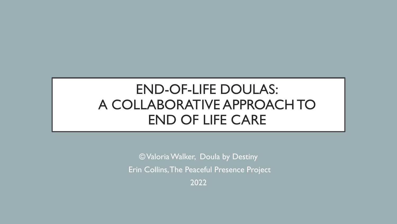# END-OF-LIFE DOULAS: A COLLABORATIVE APPROACH TO END OF LIFE CARE

© Valoria Walker, Doula by Destiny Erin Collins, The Peaceful Presence Project 2022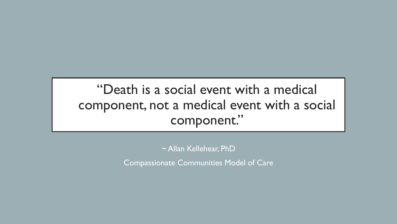# "Death is a social event with a medical component, not a medical event with a social component."

~ Allan Kellehear, PhD

Compassionate Communities Model of Care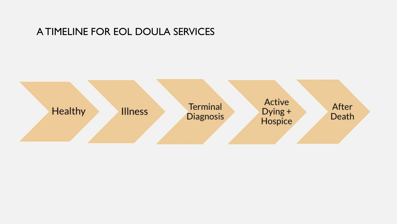#### A TIMELINE FOR EOL DOULA SERVICES

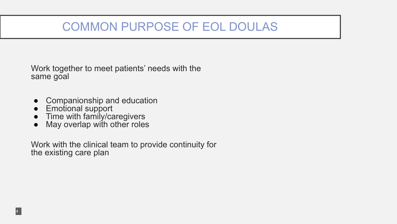## COMMON PURPOSE OF EOL DOULAS

Work together to meet patients' needs with the same goal

- **Companionship and education**
- **Emotional support**

4

- Time with family/caregivers
- May overlap with other roles

Work with the clinical team to provide continuity for the existing care plan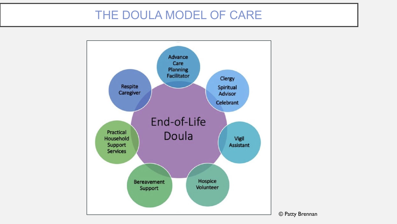#### THE DOULA MODEL OF CARE

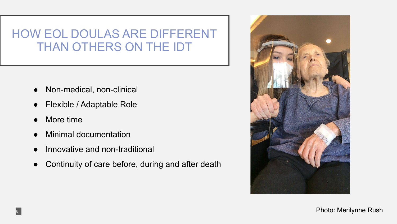#### HOW EOL DOULAS ARE DIFFERENT THAN OTHERS ON THE IDT

- Non-medical, non-clinical
- Flexible / Adaptable Role
- More time

6

- **Minimal documentation**
- Innovative and non-traditional
- Continuity of care before, during and after death



Photo: Merilynne Rush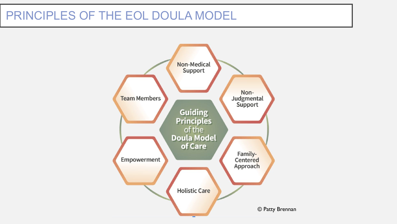#### PRINCIPLES OF THE EOL DOULA MODEL

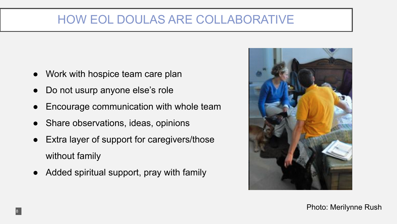#### HOW EOL DOULAS ARE COLLABORATIVE

- Work with hospice team care plan
- Do not usurp anyone else's role
- Encourage communication with whole team
- Share observations, ideas, opinions
- Extra layer of support for caregivers/those without family
- Added spiritual support, pray with family



Photo: Merilynne Rush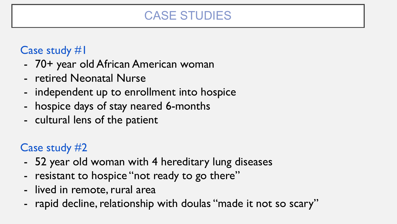## CASE STUDIES

#### Case study #1

- 70+ year old African American woman
- retired Neonatal Nurse
- independent up to enrollment into hospice
- hospice days of stay neared 6-months
- cultural lens of the patient

#### Case study #2

- 52 year old woman with 4 hereditary lung diseases
- resistant to hospice "not ready to go there"
- lived in remote, rural area
- rapid decline, relationship with doulas "made it not so scary"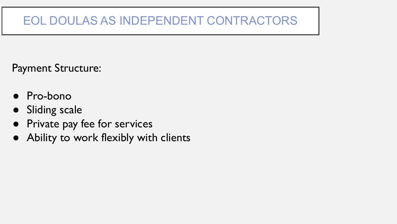## EOL DOULAS AS INDEPENDENT CONTRACTORS

Payment Structure:

- Pro-bono
- Sliding scale
- Private pay fee for services
- Ability to work flexibly with clients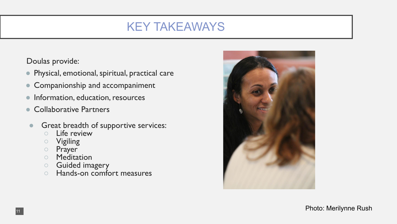## KEY TAKEAWAYS

Doulas provide:

- Physical, emotional, spiritual, practical care
- Companionship and accompaniment
- Information, education, resources
- Collaborative Partners
- **Great breadth of supportive services:** 
	- Life review
	- Vigiling
	- Prayer
	- Meditation
	- Guided imagery
	- Hands-on comfort measures



Photo: Merilynne Rush